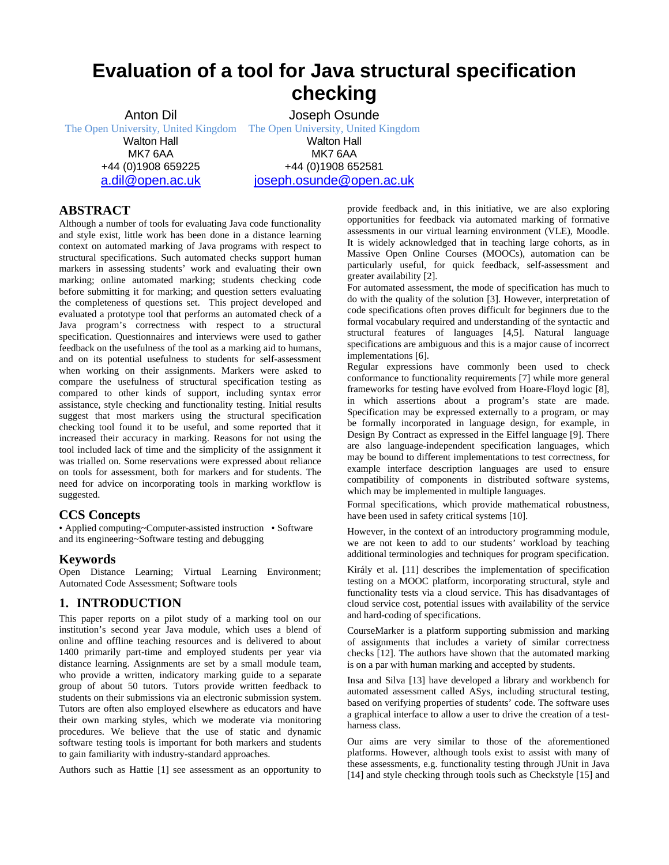# **Evaluation of a tool for Java structural specification checking**

Anton Dil The Open University, United Kingdom Walton Hall MK7 6AA +44 (0)1908 659225 a.dil@open.ac.uk

Joseph Osunde The Open University, United Kingdom Walton Hall MK7 6AA +44 (0)1908 652581 joseph.osunde@open.ac.uk

# **ABSTRACT**

Although a number of tools for evaluating Java code functionality and style exist, little work has been done in a distance learning context on automated marking of Java programs with respect to structural specifications. Such automated checks support human markers in assessing students' work and evaluating their own marking; online automated marking; students checking code before submitting it for marking; and question setters evaluating the completeness of questions set. This project developed and evaluated a prototype tool that performs an automated check of a Java program's correctness with respect to a structural specification. Questionnaires and interviews were used to gather feedback on the usefulness of the tool as a marking aid to humans, and on its potential usefulness to students for self-assessment when working on their assignments. Markers were asked to compare the usefulness of structural specification testing as compared to other kinds of support, including syntax error assistance, style checking and functionality testing. Initial results suggest that most markers using the structural specification checking tool found it to be useful, and some reported that it increased their accuracy in marking. Reasons for not using the tool included lack of time and the simplicity of the assignment it was trialled on. Some reservations were expressed about reliance on tools for assessment, both for markers and for students. The need for advice on incorporating tools in marking workflow is suggested.

# **CCS Concepts**

• Applied computing~Computer-assisted instruction • Software and its engineering~Software testing and debugging

## **Keywords**

Open Distance Learning; Virtual Learning Environment; Automated Code Assessment; Software tools

# **1. INTRODUCTION**

This paper reports on a pilot study of a marking tool on our institution's second year Java module, which uses a blend of online and offline teaching resources and is delivered to about 1400 primarily part-time and employed students per year via distance learning. Assignments are set by a small module team, who provide a written, indicatory marking guide to a separate group of about 50 tutors. Tutors provide written feedback to students on their submissions via an electronic submission system. Tutors are often also employed elsewhere as educators and have their own marking styles, which we moderate via monitoring procedures. We believe that the use of static and dynamic software testing tools is important for both markers and students to gain familiarity with industry-standard approaches.

Authors such as Hattie [1] see assessment as an opportunity to

provide feedback and, in this initiative, we are also exploring opportunities for feedback via automated marking of formative assessments in our virtual learning environment (VLE), Moodle. It is widely acknowledged that in teaching large cohorts, as in Massive Open Online Courses (MOOCs), automation can be particularly useful, for quick feedback, self-assessment and greater availability [2].

For automated assessment, the mode of specification has much to do with the quality of the solution [3]. However, interpretation of code specifications often proves difficult for beginners due to the formal vocabulary required and understanding of the syntactic and structural features of languages [4,5]. Natural language specifications are ambiguous and this is a major cause of incorrect implementations [6].

Regular expressions have commonly been used to check conformance to functionality requirements [7] while more general frameworks for testing have evolved from Hoare-Floyd logic [8], in which assertions about a program's state are made. Specification may be expressed externally to a program, or may be formally incorporated in language design, for example, in Design By Contract as expressed in the Eiffel language [9]. There are also language-independent specification languages, which may be bound to different implementations to test correctness, for example interface description languages are used to ensure compatibility of components in distributed software systems, which may be implemented in multiple languages.

Formal specifications, which provide mathematical robustness, have been used in safety critical systems [10].

However, in the context of an introductory programming module, we are not keen to add to our students' workload by teaching additional terminologies and techniques for program specification.

Király et al. [11] describes the implementation of specification testing on a MOOC platform, incorporating structural, style and functionality tests via a cloud service. This has disadvantages of cloud service cost, potential issues with availability of the service and hard-coding of specifications.

CourseMarker is a platform supporting submission and marking of assignments that includes a variety of similar correctness checks [12]. The authors have shown that the automated marking is on a par with human marking and accepted by students.

Insa and Silva [13] have developed a library and workbench for automated assessment called ASys, including structural testing, based on verifying properties of students' code. The software uses a graphical interface to allow a user to drive the creation of a testharness class.

Our aims are very similar to those of the aforementioned platforms. However, although tools exist to assist with many of these assessments, e.g. functionality testing through JUnit in Java [14] and style checking through tools such as Checkstyle [15] and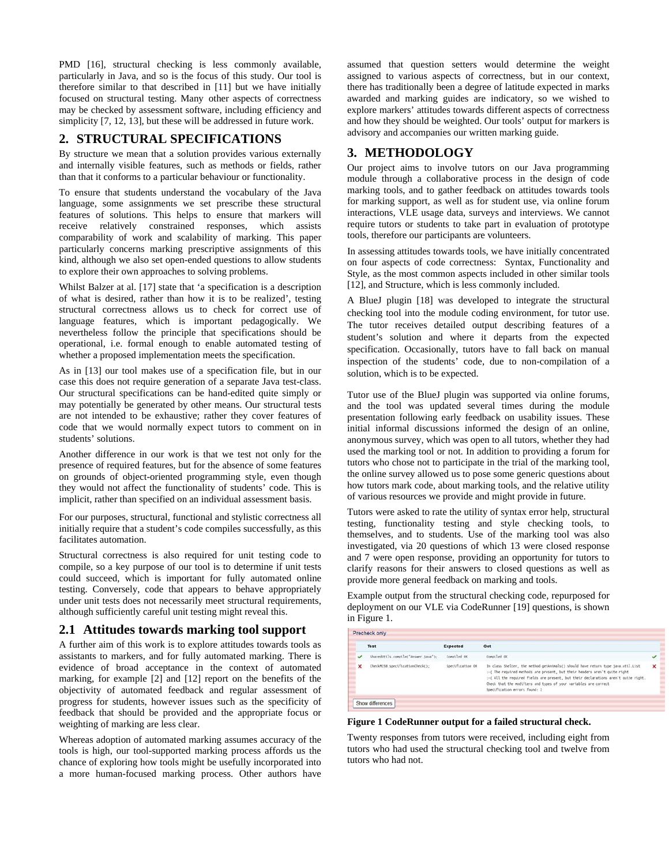PMD [16], structural checking is less commonly available, particularly in Java, and so is the focus of this study. Our tool is therefore similar to that described in [11] but we have initially focused on structural testing. Many other aspects of correctness may be checked by assessment software, including efficiency and simplicity [7, 12, 13], but these will be addressed in future work.

## **2. STRUCTURAL SPECIFICATIONS**

By structure we mean that a solution provides various externally and internally visible features, such as methods or fields, rather than that it conforms to a particular behaviour or functionality.

To ensure that students understand the vocabulary of the Java language, some assignments we set prescribe these structural features of solutions. This helps to ensure that markers will receive relatively constrained responses, which assists comparability of work and scalability of marking. This paper particularly concerns marking prescriptive assignments of this kind, although we also set open-ended questions to allow students to explore their own approaches to solving problems.

Whilst Balzer at al. [17] state that 'a specification is a description of what is desired, rather than how it is to be realized', testing structural correctness allows us to check for correct use of language features, which is important pedagogically. We nevertheless follow the principle that specifications should be operational, i.e. formal enough to enable automated testing of whether a proposed implementation meets the specification.

As in [13] our tool makes use of a specification file, but in our case this does not require generation of a separate Java test-class. Our structural specifications can be hand-edited quite simply or may potentially be generated by other means. Our structural tests are not intended to be exhaustive; rather they cover features of code that we would normally expect tutors to comment on in students' solutions.

Another difference in our work is that we test not only for the presence of required features, but for the absence of some features on grounds of object-oriented programming style, even though they would not affect the functionality of students' code. This is implicit, rather than specified on an individual assessment basis.

For our purposes, structural, functional and stylistic correctness all initially require that a student's code compiles successfully, as this facilitates automation.

Structural correctness is also required for unit testing code to compile, so a key purpose of our tool is to determine if unit tests could succeed, which is important for fully automated online testing. Conversely, code that appears to behave appropriately under unit tests does not necessarily meet structural requirements, although sufficiently careful unit testing might reveal this.

## **2.1 Attitudes towards marking tool support**

A further aim of this work is to explore attitudes towards tools as assistants to markers, and for fully automated marking. There is evidence of broad acceptance in the context of automated marking, for example [2] and [12] report on the benefits of the objectivity of automated feedback and regular assessment of progress for students, however issues such as the specificity of feedback that should be provided and the appropriate focus or weighting of marking are less clear.

Whereas adoption of automated marking assumes accuracy of the tools is high, our tool-supported marking process affords us the chance of exploring how tools might be usefully incorporated into a more human-focused marking process. Other authors have

assumed that question setters would determine the weight assigned to various aspects of correctness, but in our context, there has traditionally been a degree of latitude expected in marks awarded and marking guides are indicatory, so we wished to explore markers' attitudes towards different aspects of correctness and how they should be weighted. Our tools' output for markers is advisory and accompanies our written marking guide.

# **3. METHODOLOGY**

Our project aims to involve tutors on our Java programming module through a collaborative process in the design of code marking tools, and to gather feedback on attitudes towards tools for marking support, as well as for student use, via online forum interactions, VLE usage data, surveys and interviews. We cannot require tutors or students to take part in evaluation of prototype tools, therefore our participants are volunteers.

In assessing attitudes towards tools, we have initially concentrated on four aspects of code correctness: Syntax, Functionality and Style, as the most common aspects included in other similar tools [12], and Structure, which is less commonly included.

A BlueJ plugin [18] was developed to integrate the structural checking tool into the module coding environment, for tutor use. The tutor receives detailed output describing features of a student's solution and where it departs from the expected specification. Occasionally, tutors have to fall back on manual inspection of the students' code, due to non-compilation of a solution, which is to be expected.

Tutor use of the BlueJ plugin was supported via online forums, and the tool was updated several times during the module presentation following early feedback on usability issues. These initial informal discussions informed the design of an online, anonymous survey, which was open to all tutors, whether they had used the marking tool or not. In addition to providing a forum for tutors who chose not to participate in the trial of the marking tool, the online survey allowed us to pose some generic questions about how tutors mark code, about marking tools, and the relative utility of various resources we provide and might provide in future.

Tutors were asked to rate the utility of syntax error help, structural testing, functionality testing and style checking tools, to themselves, and to students. Use of the marking tool was also investigated, via 20 questions of which 13 were closed response and 7 were open response, providing an opportunity for tutors to clarify reasons for their answers to closed questions as well as provide more general feedback on marking and tools.

Example output from the structural checking code, repurposed for deployment on our VLE via CodeRunner [19] questions, is shown in Figure 1.

|             | Test                                | Expected         | Got                                                                                                                                                                                                                                                                                                                                                          |   |
|-------------|-------------------------------------|------------------|--------------------------------------------------------------------------------------------------------------------------------------------------------------------------------------------------------------------------------------------------------------------------------------------------------------------------------------------------------------|---|
|             | Sharedutils.compile("Answer.java"); | Comptled OK      | Comptled OK                                                                                                                                                                                                                                                                                                                                                  |   |
| $\mathbf x$ | CheckM25B.specificationCheck();     | Specification OK | In class Shelter, the method getAnimals() should have return type java.util.List<br>:- ( The required methods are present, but their headers aren't quite right<br>:- ( All the required fields are present, but their declarations aren't quite right,<br>Check that the modifiers and types of your variables are correct<br>Specification errors found: 2 | × |

#### **Figure 1 CodeRunner output for a failed structural check.**

Twenty responses from tutors were received, including eight from tutors who had used the structural checking tool and twelve from tutors who had not.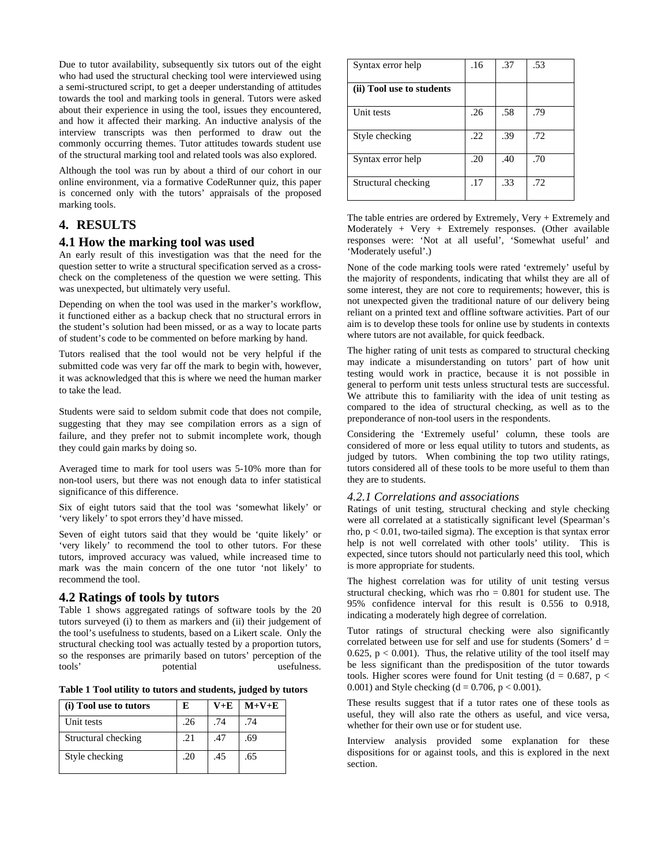Due to tutor availability, subsequently six tutors out of the eight who had used the structural checking tool were interviewed using a semi-structured script, to get a deeper understanding of attitudes towards the tool and marking tools in general. Tutors were asked about their experience in using the tool, issues they encountered, and how it affected their marking. An inductive analysis of the interview transcripts was then performed to draw out the commonly occurring themes. Tutor attitudes towards student use of the structural marking tool and related tools was also explored.

Although the tool was run by about a third of our cohort in our online environment, via a formative CodeRunner quiz, this paper is concerned only with the tutors' appraisals of the proposed marking tools.

# **4. RESULTS**

### **4.1 How the marking tool was used**

An early result of this investigation was that the need for the question setter to write a structural specification served as a crosscheck on the completeness of the question we were setting. This was unexpected, but ultimately very useful.

Depending on when the tool was used in the marker's workflow, it functioned either as a backup check that no structural errors in the student's solution had been missed, or as a way to locate parts of student's code to be commented on before marking by hand.

Tutors realised that the tool would not be very helpful if the submitted code was very far off the mark to begin with, however, it was acknowledged that this is where we need the human marker to take the lead.

Students were said to seldom submit code that does not compile, suggesting that they may see compilation errors as a sign of failure, and they prefer not to submit incomplete work, though they could gain marks by doing so.

Averaged time to mark for tool users was 5-10% more than for non-tool users, but there was not enough data to infer statistical significance of this difference.

Six of eight tutors said that the tool was 'somewhat likely' or 'very likely' to spot errors they'd have missed.

Seven of eight tutors said that they would be 'quite likely' or 'very likely' to recommend the tool to other tutors. For these tutors, improved accuracy was valued, while increased time to mark was the main concern of the one tutor 'not likely' to recommend the tool.

#### **4.2 Ratings of tools by tutors**

Table 1 shows aggregated ratings of software tools by the 20 tutors surveyed (i) to them as markers and (ii) their judgement of the tool's usefulness to students, based on a Likert scale. Only the structural checking tool was actually tested by a proportion tutors, so the responses are primarily based on tutors' perception of the tools' potential usefulness.

**Table 1 Tool utility to tutors and students, judged by tutors**

| (i) Tool use to tutors | E   | V+E | $M+V+E$ |
|------------------------|-----|-----|---------|
| Unit tests             | .26 | .74 | .74     |
| Structural checking    | .21 | .47 | .69     |
| Style checking         | .20 | .45 | .65     |

| Syntax error help         | .16 | .37 | .53 |
|---------------------------|-----|-----|-----|
| (ii) Tool use to students |     |     |     |
| Unit tests                | .26 | .58 | .79 |
| Style checking            | .22 | .39 | .72 |
| Syntax error help         | .20 | .40 | .70 |
| Structural checking       | .17 | .33 | .72 |

The table entries are ordered by Extremely, Very + Extremely and Moderately + Very + Extremely responses. (Other available responses were: 'Not at all useful', 'Somewhat useful' and 'Moderately useful'.)

None of the code marking tools were rated 'extremely' useful by the majority of respondents, indicating that whilst they are all of some interest, they are not core to requirements; however, this is not unexpected given the traditional nature of our delivery being reliant on a printed text and offline software activities. Part of our aim is to develop these tools for online use by students in contexts where tutors are not available, for quick feedback.

The higher rating of unit tests as compared to structural checking may indicate a misunderstanding on tutors' part of how unit testing would work in practice, because it is not possible in general to perform unit tests unless structural tests are successful. We attribute this to familiarity with the idea of unit testing as compared to the idea of structural checking, as well as to the preponderance of non-tool users in the respondents.

Considering the 'Extremely useful' column, these tools are considered of more or less equal utility to tutors and students, as judged by tutors. When combining the top two utility ratings, tutors considered all of these tools to be more useful to them than they are to students.

#### *4.2.1 Correlations and associations*

Ratings of unit testing, structural checking and style checking were all correlated at a statistically significant level (Spearman's rho,  $p < 0.01$ , two-tailed sigma). The exception is that syntax error help is not well correlated with other tools' utility. This is expected, since tutors should not particularly need this tool, which is more appropriate for students.

The highest correlation was for utility of unit testing versus structural checking, which was rho  $= 0.801$  for student use. The 95% confidence interval for this result is 0.556 to 0.918, indicating a moderately high degree of correlation.

Tutor ratings of structural checking were also significantly correlated between use for self and use for students (Somers'  $d =$ 0.625,  $p < 0.001$ ). Thus, the relative utility of the tool itself may be less significant than the predisposition of the tutor towards tools. Higher scores were found for Unit testing  $(d = 0.687, p <$ 0.001) and Style checking  $(d = 0.706, p < 0.001)$ .

These results suggest that if a tutor rates one of these tools as useful, they will also rate the others as useful, and vice versa, whether for their own use or for student use.

Interview analysis provided some explanation for these dispositions for or against tools, and this is explored in the next section.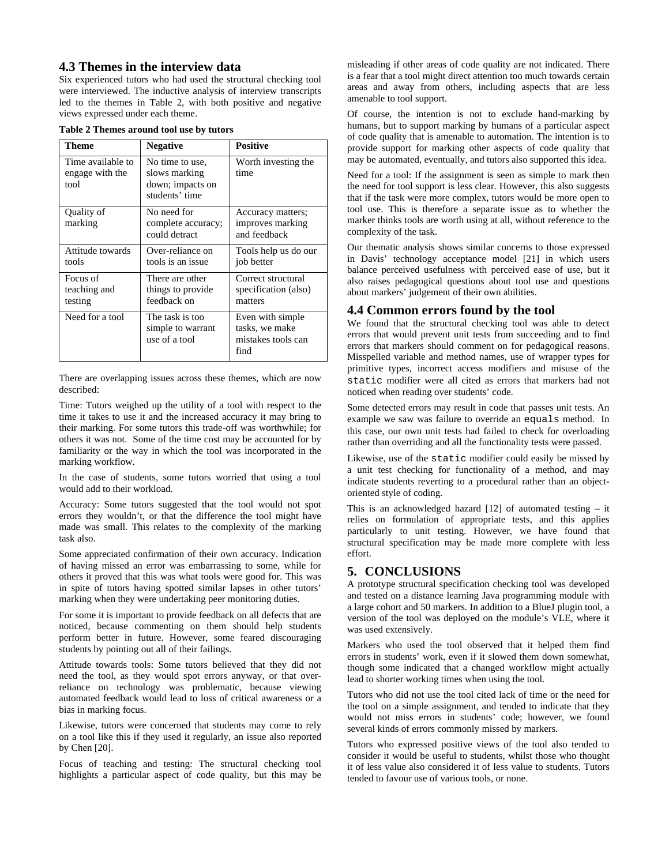### **4.3 Themes in the interview data**

Six experienced tutors who had used the structural checking tool were interviewed. The inductive analysis of interview transcripts led to the themes in Table 2, with both positive and negative views expressed under each theme.

| Table 2 Themes around tool use by tutors |  |  |  |
|------------------------------------------|--|--|--|
|------------------------------------------|--|--|--|

| <b>Theme</b>                                 | <b>Negative</b>                                                        | <b>Positive</b>                                                  |
|----------------------------------------------|------------------------------------------------------------------------|------------------------------------------------------------------|
| Time available to<br>engage with the<br>tool | No time to use,<br>slows marking<br>down; impacts on<br>students' time | Worth investing the<br>time                                      |
| Quality of<br>marking                        | No need for<br>complete accuracy;<br>could detract                     | Accuracy matters;<br>improves marking<br>and feedback            |
| Attitude towards<br>tools                    | Over-reliance on<br>tools is an issue                                  | Tools help us do our<br>job better                               |
| Focus of<br>teaching and<br>testing          | There are other<br>things to provide<br>feedback on                    | Correct structural<br>specification (also)<br>matters            |
| Need for a tool                              | The task is too<br>simple to warrant<br>use of a tool                  | Even with simple<br>tasks, we make<br>mistakes tools can<br>find |

There are overlapping issues across these themes, which are now described:

Time: Tutors weighed up the utility of a tool with respect to the time it takes to use it and the increased accuracy it may bring to their marking. For some tutors this trade-off was worthwhile; for others it was not. Some of the time cost may be accounted for by familiarity or the way in which the tool was incorporated in the marking workflow.

In the case of students, some tutors worried that using a tool would add to their workload.

Accuracy: Some tutors suggested that the tool would not spot errors they wouldn't, or that the difference the tool might have made was small. This relates to the complexity of the marking task also.

Some appreciated confirmation of their own accuracy. Indication of having missed an error was embarrassing to some, while for others it proved that this was what tools were good for. This was in spite of tutors having spotted similar lapses in other tutors' marking when they were undertaking peer monitoring duties.

For some it is important to provide feedback on all defects that are noticed, because commenting on them should help students perform better in future. However, some feared discouraging students by pointing out all of their failings.

Attitude towards tools: Some tutors believed that they did not need the tool, as they would spot errors anyway, or that overreliance on technology was problematic, because viewing automated feedback would lead to loss of critical awareness or a bias in marking focus.

Likewise, tutors were concerned that students may come to rely on a tool like this if they used it regularly, an issue also reported by Chen [20].

Focus of teaching and testing: The structural checking tool highlights a particular aspect of code quality, but this may be misleading if other areas of code quality are not indicated. There is a fear that a tool might direct attention too much towards certain areas and away from others, including aspects that are less amenable to tool support.

Of course, the intention is not to exclude hand-marking by humans, but to support marking by humans of a particular aspect of code quality that is amenable to automation. The intention is to provide support for marking other aspects of code quality that may be automated, eventually, and tutors also supported this idea.

Need for a tool: If the assignment is seen as simple to mark then the need for tool support is less clear. However, this also suggests that if the task were more complex, tutors would be more open to tool use. This is therefore a separate issue as to whether the marker thinks tools are worth using at all, without reference to the complexity of the task.

Our thematic analysis shows similar concerns to those expressed in Davis' technology acceptance model [21] in which users balance perceived usefulness with perceived ease of use, but it also raises pedagogical questions about tool use and questions about markers' judgement of their own abilities.

#### **4.4 Common errors found by the tool**

We found that the structural checking tool was able to detect errors that would prevent unit tests from succeeding and to find errors that markers should comment on for pedagogical reasons. Misspelled variable and method names, use of wrapper types for primitive types, incorrect access modifiers and misuse of the static modifier were all cited as errors that markers had not noticed when reading over students' code.

Some detected errors may result in code that passes unit tests. An example we saw was failure to override an equals method. In this case, our own unit tests had failed to check for overloading rather than overriding and all the functionality tests were passed.

Likewise, use of the static modifier could easily be missed by a unit test checking for functionality of a method, and may indicate students reverting to a procedural rather than an objectoriented style of coding.

This is an acknowledged hazard  $[12]$  of automated testing – it relies on formulation of appropriate tests, and this applies particularly to unit testing. However, we have found that structural specification may be made more complete with less effort.

## **5. CONCLUSIONS**

A prototype structural specification checking tool was developed and tested on a distance learning Java programming module with a large cohort and 50 markers. In addition to a BlueJ plugin tool, a version of the tool was deployed on the module's VLE, where it was used extensively.

Markers who used the tool observed that it helped them find errors in students' work, even if it slowed them down somewhat, though some indicated that a changed workflow might actually lead to shorter working times when using the tool.

Tutors who did not use the tool cited lack of time or the need for the tool on a simple assignment, and tended to indicate that they would not miss errors in students' code; however, we found several kinds of errors commonly missed by markers.

Tutors who expressed positive views of the tool also tended to consider it would be useful to students, whilst those who thought it of less value also considered it of less value to students. Tutors tended to favour use of various tools, or none.